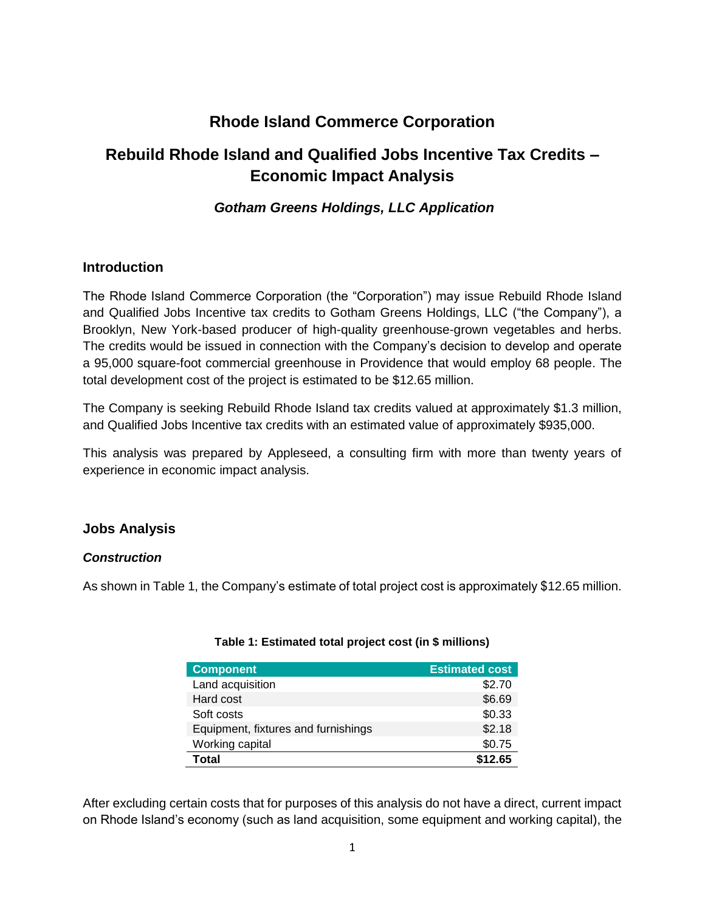# **Rhode Island Commerce Corporation**

# **Rebuild Rhode Island and Qualified Jobs Incentive Tax Credits – Economic Impact Analysis**

# *Gotham Greens Holdings, LLC Application*

## **Introduction**

The Rhode Island Commerce Corporation (the "Corporation") may issue Rebuild Rhode Island and Qualified Jobs Incentive tax credits to Gotham Greens Holdings, LLC ("the Company"), a Brooklyn, New York-based producer of high-quality greenhouse-grown vegetables and herbs. The credits would be issued in connection with the Company's decision to develop and operate a 95,000 square-foot commercial greenhouse in Providence that would employ 68 people. The total development cost of the project is estimated to be \$12.65 million.

The Company is seeking Rebuild Rhode Island tax credits valued at approximately \$1.3 million, and Qualified Jobs Incentive tax credits with an estimated value of approximately \$935,000.

This analysis was prepared by Appleseed, a consulting firm with more than twenty years of experience in economic impact analysis.

# **Jobs Analysis**

### *Construction*

As shown in Table 1, the Company's estimate of total project cost is approximately \$12.65 million.

| <b>Component</b>                    | <b>Estimated cost</b> |
|-------------------------------------|-----------------------|
| Land acquisition                    | \$2.70                |
| Hard cost                           | \$6.69                |
| Soft costs                          | \$0.33                |
| Equipment, fixtures and furnishings | \$2.18                |
| Working capital                     | \$0.75                |
| Total                               | \$12.65               |

### **Table 1: Estimated total project cost (in \$ millions)**

After excluding certain costs that for purposes of this analysis do not have a direct, current impact on Rhode Island's economy (such as land acquisition, some equipment and working capital), the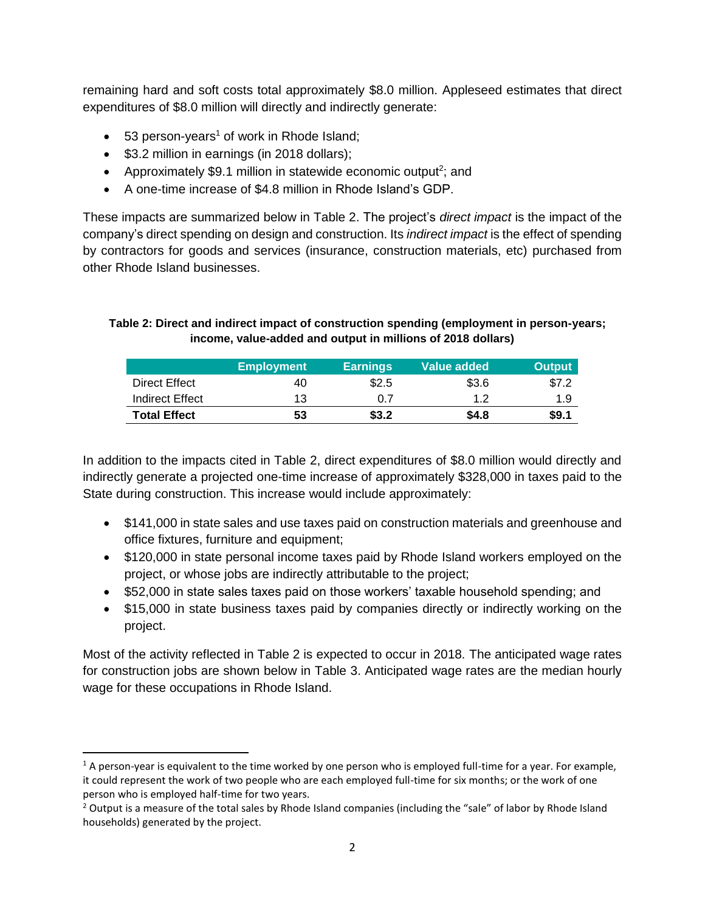remaining hard and soft costs total approximately \$8.0 million. Appleseed estimates that direct expenditures of \$8.0 million will directly and indirectly generate:

- 53 person-years<sup>1</sup> of work in Rhode Island;
- \$3.2 million in earnings (in 2018 dollars);

 $\overline{\phantom{a}}$ 

- Approximately \$9.1 million in statewide economic output<sup>2</sup>; and
- A one-time increase of \$4.8 million in Rhode Island's GDP.

These impacts are summarized below in Table 2. The project's *direct impact* is the impact of the company's direct spending on design and construction. Its *indirect impact* is the effect of spending by contractors for goods and services (insurance, construction materials, etc) purchased from other Rhode Island businesses.

### **Table 2: Direct and indirect impact of construction spending (employment in person-years; income, value-added and output in millions of 2018 dollars)**

|                     | <b>Employment</b> | <b>Earnings</b> | Value added | <b>Output</b> |
|---------------------|-------------------|-----------------|-------------|---------------|
| Direct Effect       | 40                | \$2.5           | \$3.6       | \$7.2         |
| Indirect Effect     | 13                | 0.7             | 1.2         | 1.9           |
| <b>Total Effect</b> | 53                | \$3.2           | \$4.8       | \$9.1         |

In addition to the impacts cited in Table 2, direct expenditures of \$8.0 million would directly and indirectly generate a projected one-time increase of approximately \$328,000 in taxes paid to the State during construction. This increase would include approximately:

- \$141,000 in state sales and use taxes paid on construction materials and greenhouse and office fixtures, furniture and equipment;
- \$120,000 in state personal income taxes paid by Rhode Island workers employed on the project, or whose jobs are indirectly attributable to the project;
- \$52,000 in state sales taxes paid on those workers' taxable household spending; and
- \$15,000 in state business taxes paid by companies directly or indirectly working on the project.

Most of the activity reflected in Table 2 is expected to occur in 2018. The anticipated wage rates for construction jobs are shown below in Table 3. Anticipated wage rates are the median hourly wage for these occupations in Rhode Island.

 $1$  A person-year is equivalent to the time worked by one person who is employed full-time for a year. For example, it could represent the work of two people who are each employed full-time for six months; or the work of one person who is employed half-time for two years.

 $2$  Output is a measure of the total sales by Rhode Island companies (including the "sale" of labor by Rhode Island households) generated by the project.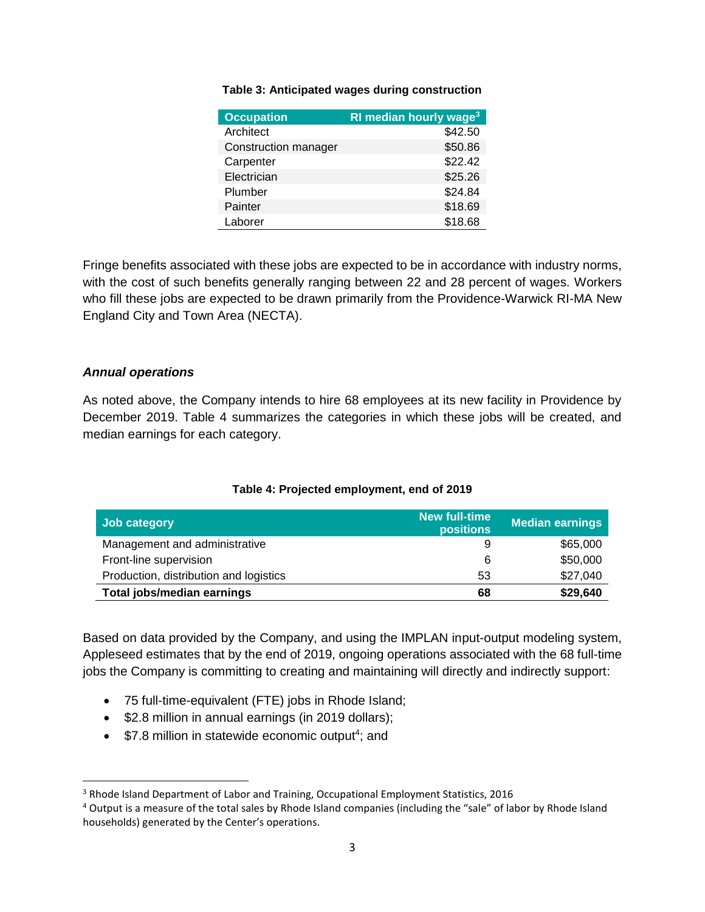| <b>Occupation</b>    | RI median hourly wage <sup>3</sup> |
|----------------------|------------------------------------|
| Architect            | \$42.50                            |
| Construction manager | \$50.86                            |
| Carpenter            | \$22.42                            |
| Electrician          | \$25.26                            |
| Plumber              | \$24.84                            |
| Painter              | \$18.69                            |
| Laborer              | \$18.68                            |

#### **Table 3: Anticipated wages during construction**

Fringe benefits associated with these jobs are expected to be in accordance with industry norms, with the cost of such benefits generally ranging between 22 and 28 percent of wages. Workers who fill these jobs are expected to be drawn primarily from the Providence-Warwick RI-MA New England City and Town Area (NECTA).

#### *Annual operations*

 $\overline{a}$ 

As noted above, the Company intends to hire 68 employees at its new facility in Providence by December 2019. Table 4 summarizes the categories in which these jobs will be created, and median earnings for each category.

## **Job category New full-time Median earnings** Management and administrative and administrative by the set of the set of the set of the set of the set of the set of the set of the set of the set of the set of the set of the set of the set of the set of the set of the s Front-line supervision and the supervision of the state of the state of the state of the state of the state of the state of the state of the state of the state of the state of the state of the state of the state of the sta Production, distribution and logistics 63 \$27,040 **Total jobs/median earnings 68 \$29,640**

#### **Table 4: Projected employment, end of 2019**

Based on data provided by the Company, and using the IMPLAN input-output modeling system, Appleseed estimates that by the end of 2019, ongoing operations associated with the 68 full-time jobs the Company is committing to creating and maintaining will directly and indirectly support:

- 75 full-time-equivalent (FTE) jobs in Rhode Island;
- \$2.8 million in annual earnings (in 2019 dollars);
- $\bullet$  \$7.8 million in statewide economic output<sup>4</sup>; and

<sup>3</sup> Rhode Island Department of Labor and Training, Occupational Employment Statistics, 2016

<sup>&</sup>lt;sup>4</sup> Output is a measure of the total sales by Rhode Island companies (including the "sale" of labor by Rhode Island households) generated by the Center's operations.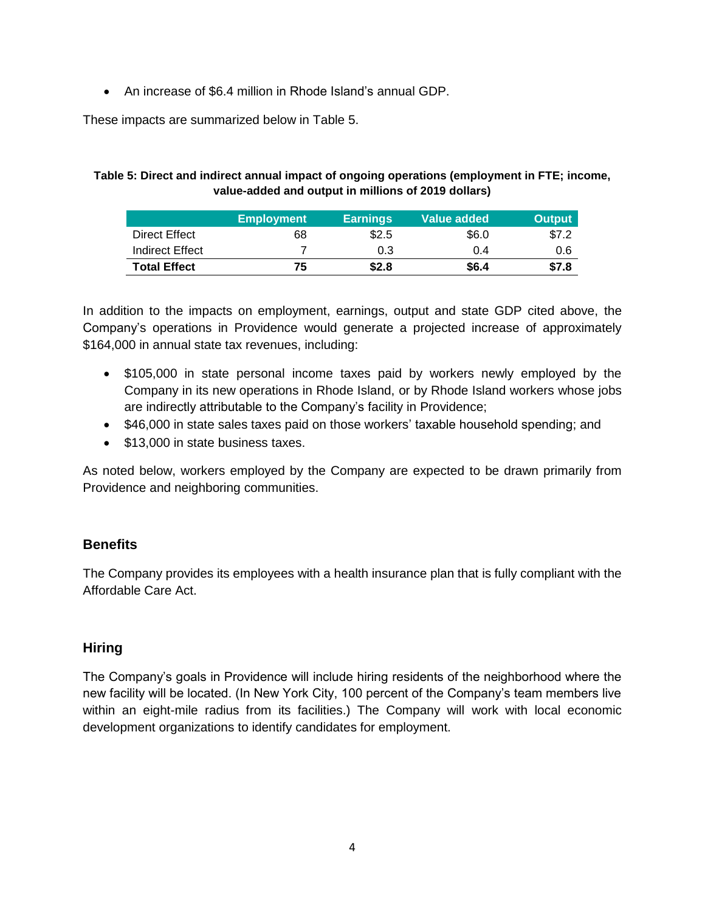• An increase of \$6.4 million in Rhode Island's annual GDP.

These impacts are summarized below in Table 5.

### **Table 5: Direct and indirect annual impact of ongoing operations (employment in FTE; income, value-added and output in millions of 2019 dollars)**

|                     | <b>Employment</b> | <b>Earnings</b> | Value added | <b>Output</b> |
|---------------------|-------------------|-----------------|-------------|---------------|
| Direct Effect       | 68                | \$2.5           | \$6.0       | \$7.2         |
| Indirect Effect     |                   | 0.3             | 0.4         | 0.6           |
| <b>Total Effect</b> | 75                | \$2.8           | \$6.4       | \$7.8         |

In addition to the impacts on employment, earnings, output and state GDP cited above, the Company's operations in Providence would generate a projected increase of approximately \$164,000 in annual state tax revenues, including:

- \$105,000 in state personal income taxes paid by workers newly employed by the Company in its new operations in Rhode Island, or by Rhode Island workers whose jobs are indirectly attributable to the Company's facility in Providence;
- \$46,000 in state sales taxes paid on those workers' taxable household spending; and
- \$13,000 in state business taxes.

As noted below, workers employed by the Company are expected to be drawn primarily from Providence and neighboring communities.

# **Benefits**

The Company provides its employees with a health insurance plan that is fully compliant with the Affordable Care Act.

# **Hiring**

The Company's goals in Providence will include hiring residents of the neighborhood where the new facility will be located. (In New York City, 100 percent of the Company's team members live within an eight-mile radius from its facilities.) The Company will work with local economic development organizations to identify candidates for employment.